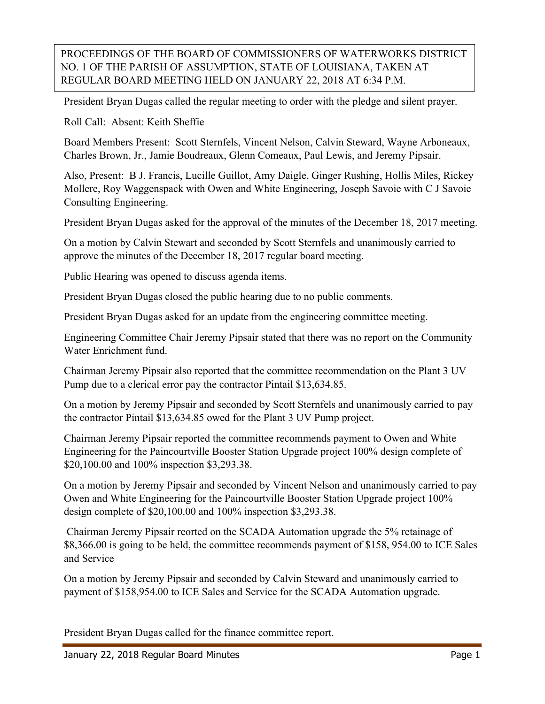## PROCEEDINGS OF THE BOARD OF COMMISSIONERS OF WATERWORKS DISTRICT NO. 1 OF THE PARISH OF ASSUMPTION, STATE OF LOUISIANA, TAKEN AT REGULAR BOARD MEETING HELD ON JANUARY 22, 2018 AT 6:34 P.M.

President Bryan Dugas called the regular meeting to order with the pledge and silent prayer.

Roll Call: Absent: Keith Sheffie

Board Members Present: Scott Sternfels, Vincent Nelson, Calvin Steward, Wayne Arboneaux, Charles Brown, Jr., Jamie Boudreaux, Glenn Comeaux, Paul Lewis, and Jeremy Pipsair.

Also, Present: B J. Francis, Lucille Guillot, Amy Daigle, Ginger Rushing, Hollis Miles, Rickey Mollere, Roy Waggenspack with Owen and White Engineering, Joseph Savoie with C J Savoie Consulting Engineering.

President Bryan Dugas asked for the approval of the minutes of the December 18, 2017 meeting.

On a motion by Calvin Stewart and seconded by Scott Sternfels and unanimously carried to approve the minutes of the December 18, 2017 regular board meeting.

Public Hearing was opened to discuss agenda items.

President Bryan Dugas closed the public hearing due to no public comments.

President Bryan Dugas asked for an update from the engineering committee meeting.

Engineering Committee Chair Jeremy Pipsair stated that there was no report on the Community Water Enrichment fund.

Chairman Jeremy Pipsair also reported that the committee recommendation on the Plant 3 UV Pump due to a clerical error pay the contractor Pintail \$13,634.85.

On a motion by Jeremy Pipsair and seconded by Scott Sternfels and unanimously carried to pay the contractor Pintail \$13,634.85 owed for the Plant 3 UV Pump project.

Chairman Jeremy Pipsair reported the committee recommends payment to Owen and White Engineering for the Paincourtville Booster Station Upgrade project 100% design complete of \$20,100.00 and 100% inspection \$3,293.38.

On a motion by Jeremy Pipsair and seconded by Vincent Nelson and unanimously carried to pay Owen and White Engineering for the Paincourtville Booster Station Upgrade project 100% design complete of \$20,100.00 and 100% inspection \$3,293.38.

Chairman Jeremy Pipsair reorted on the SCADA Automation upgrade the 5% retainage of \$8,366.00 is going to be held, the committee recommends payment of \$158, 954.00 to ICE Sales and Service

On a motion by Jeremy Pipsair and seconded by Calvin Steward and unanimously carried to payment of \$158,954.00 to ICE Sales and Service for the SCADA Automation upgrade.

President Bryan Dugas called for the finance committee report.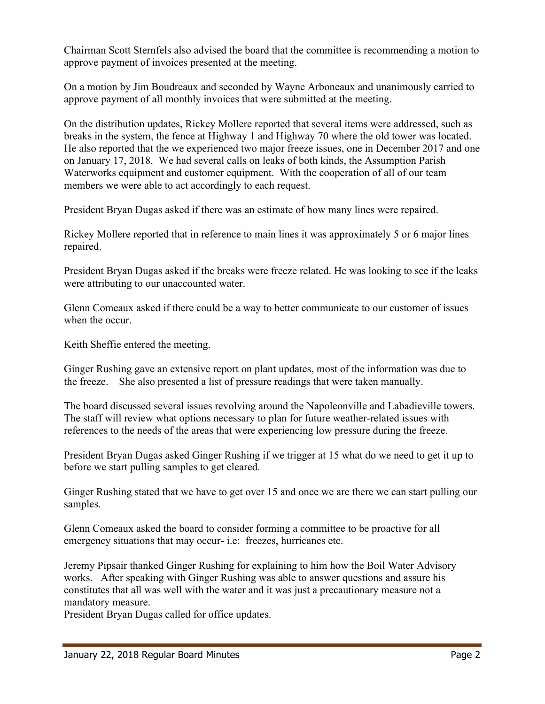Chairman Scott Sternfels also advised the board that the committee is recommending a motion to approve payment of invoices presented at the meeting.

On a motion by Jim Boudreaux and seconded by Wayne Arboneaux and unanimously carried to approve payment of all monthly invoices that were submitted at the meeting.

On the distribution updates, Rickey Mollere reported that several items were addressed, such as breaks in the system, the fence at Highway 1 and Highway 70 where the old tower was located. He also reported that the we experienced two major freeze issues, one in December 2017 and one on January 17, 2018. We had several calls on leaks of both kinds, the Assumption Parish Waterworks equipment and customer equipment. With the cooperation of all of our team members we were able to act accordingly to each request.

President Bryan Dugas asked if there was an estimate of how many lines were repaired.

Rickey Mollere reported that in reference to main lines it was approximately 5 or 6 major lines repaired.

President Bryan Dugas asked if the breaks were freeze related. He was looking to see if the leaks were attributing to our unaccounted water.

Glenn Comeaux asked if there could be a way to better communicate to our customer of issues when the occur.

Keith Sheffie entered the meeting.

Ginger Rushing gave an extensive report on plant updates, most of the information was due to the freeze. She also presented a list of pressure readings that were taken manually.

The board discussed several issues revolving around the Napoleonville and Labadieville towers. The staff will review what options necessary to plan for future weather-related issues with references to the needs of the areas that were experiencing low pressure during the freeze.

President Bryan Dugas asked Ginger Rushing if we trigger at 15 what do we need to get it up to before we start pulling samples to get cleared.

Ginger Rushing stated that we have to get over 15 and once we are there we can start pulling our samples.

Glenn Comeaux asked the board to consider forming a committee to be proactive for all emergency situations that may occur- i.e: freezes, hurricanes etc.

Jeremy Pipsair thanked Ginger Rushing for explaining to him how the Boil Water Advisory works. After speaking with Ginger Rushing was able to answer questions and assure his constitutes that all was well with the water and it was just a precautionary measure not a mandatory measure.

President Bryan Dugas called for office updates.